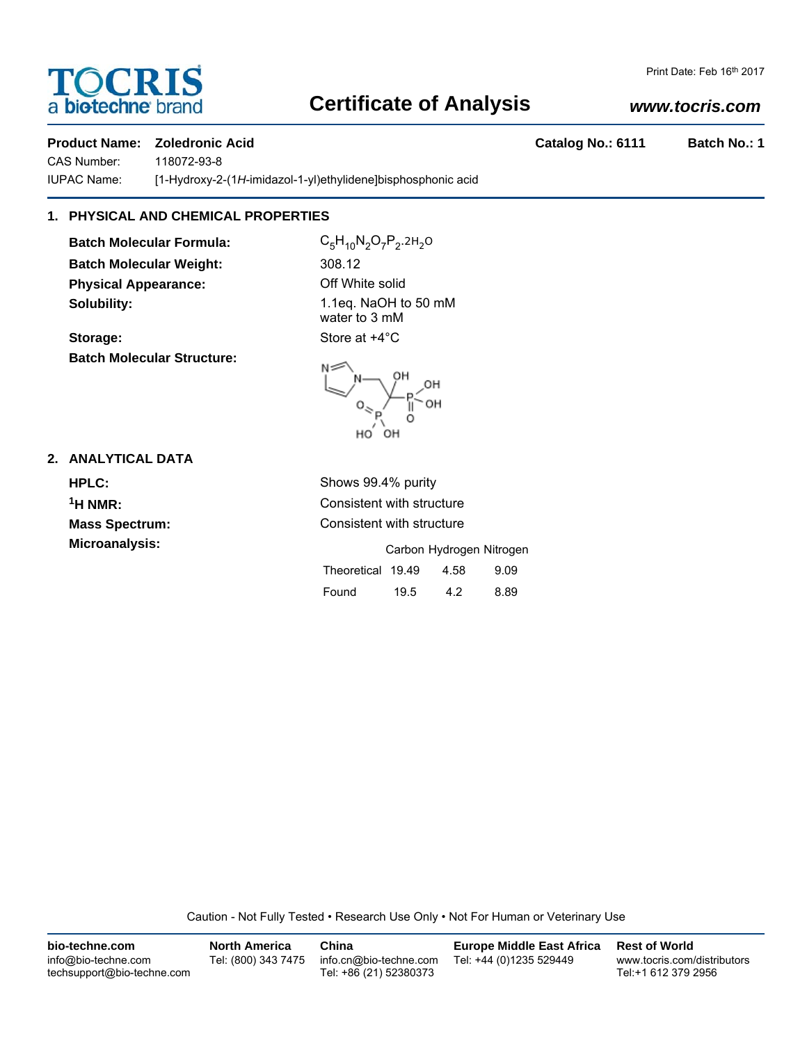# OCRIS a bio-techne brand

# **Certificate of Analysis**

## *www.tocris.com*

### **Product Name: Zoledronic Acid Catalog No.: 6111 Batch No.: 1**

CAS Number: 118072-93-8

IUPAC Name: [1-Hydroxy-2-(1*H*-imidazol-1-yl)ethylidene]bisphosphonic acid

# **1. PHYSICAL AND CHEMICAL PROPERTIES**

**Batch Molecular Formula:** C<sub>5</sub>H<sub>10</sub>N<sub>2</sub>O<sub>7</sub>P<sub>2</sub>.2H<sub>2</sub>O **Batch Molecular Weight:** 308.12 **Physical Appearance:** Off White solid **Solubility:** 1.1eq. NaOH to 50 mM

**Storage:** Store at  $+4^{\circ}$ C **Batch Molecular Structure:**



water to 3 mM



### **2. ANALYTICAL DATA**

**HPLC:** Shows 99.4% purity

**1H NMR:** Consistent with structure **Mass Spectrum:** Consistent with structure **Microanalysis:** Carbon Hydrogen Nitrogen Theoretical 19.49 4.58 9.09 Found 19.5 4.2 8.89

Caution - Not Fully Tested • Research Use Only • Not For Human or Veterinary Use

| bio-techne.com                                    | <b>North America</b> | China                                            | <b>Europe Middle East Africa</b> | <b>Rest of World</b>                               |
|---------------------------------------------------|----------------------|--------------------------------------------------|----------------------------------|----------------------------------------------------|
| info@bio-techne.com<br>techsupport@bio-techne.com | Tel: (800) 343 7475  | info.cn@bio-techne.com<br>Tel: +86 (21) 52380373 | Tel: +44 (0)1235 529449          | www.tocris.com/distributors<br>Tel:+1 612 379 2956 |